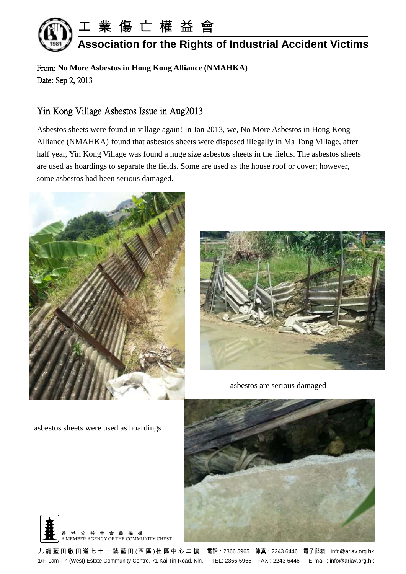

From: **No More Asbestos in Hong Kong Alliance (NMAHKA)** Date: Sep 2, 2013

## Yin Kong Village Asbestos Issue in Aug2013

Asbestos sheets were found in village again! In Jan 2013, we, No More Asbestos in Hong Kong Alliance (NMAHKA) found that asbestos sheets were disposed illegally in Ma Tong Village, after half year, Yin Kong Village was found a huge size asbestos sheets in the fields. The asbestos sheets are used as hoardings to separate the fields. Some are used as the house roof or cover; however, some asbestos had been serious damaged.





asbestos are serious damaged

asbestos sheets were used as hoardings



九 龍 藍 田 啟 田 道 七 十 一 號 藍 田 (西 區 )社 區 中 心 二 樓 電話 : 2366 5965 傳真 : 2243 6446 電子郵箱 : info@ariav.org.hk 1/F, Lam Tin (West) Estate Community Centre, 71 Kai Tin Road, Kln. TEL: 2366 5965 FAX : 2243 6446 E-mail : info@ariav.org.hk

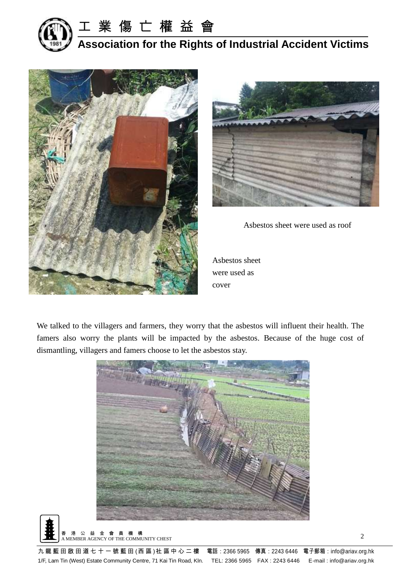

工 業 傷 亡 權 益 會

**Association for the Rights of Industrial Accident Victims**





Asbestos sheet were used as roof

Asbestos sheet were used as cover

We talked to the villagers and farmers, they worry that the asbestos will influent their health. The famers also worry the plants will be impacted by the asbestos. Because of the huge cost of dismantling, villagers and famers choose to let the asbestos stay.



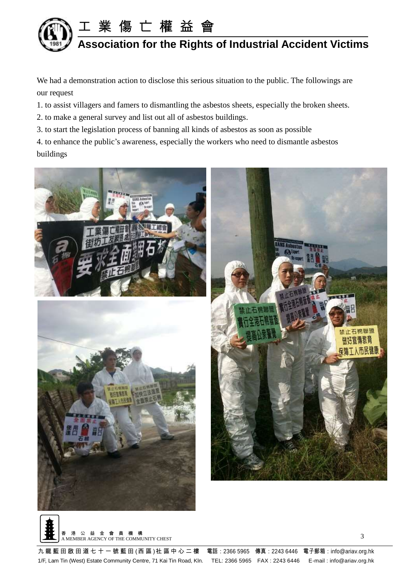

We had a demonstration action to disclose this serious situation to the public. The followings are our request

1. to assist villagers and famers to dismantling the asbestos sheets, especially the broken sheets.

2. to make a general survey and list out all of asbestos buildings.

3. to start the legislation process of banning all kinds of asbestos as soon as possible

4. to enhance the public's awareness, especially the workers who need to dismantle asbestos buildings